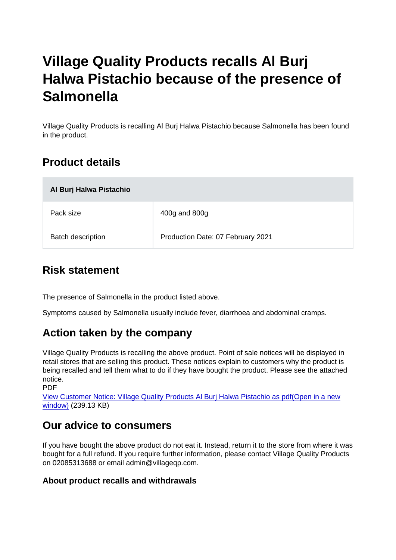# Village Quality Products recalls Al Burj Halwa Pistachio because of the presence of **Salmonella**

Village Quality Products is recalling Al Burj Halwa Pistachio because Salmonella has been found in the product.

# Product details

| Al Burj Halwa Pistachio  |                                   |
|--------------------------|-----------------------------------|
| Pack size                | 400g and 800g                     |
| <b>Batch description</b> | Production Date: 07 February 2021 |

### Risk statement

The presence of Salmonella in the product listed above.

Symptoms caused by Salmonella usually include fever, diarrhoea and abdominal cramps.

# Action taken by the company

Village Quality Products is recalling the above product. Point of sale notices will be displayed in retail stores that are selling this product. These notices explain to customers why the product is being recalled and tell them what to do if they have bought the product. Please see the attached notice.

PDF

[View Customer Notice: Village Quality Products Al Burj Halwa Pistachio as pdf\(Open in a new](https://s3-eu-west-1.amazonaws.com/fsa-alerts-files/production/FSA-PRIN-21-2022/FSA-PRIN-21-2022-Village-Quality-Products-recalls-Al-Burj-Halwa-Pistachio-because-of-the-presence-of-salmonella.pdf) [window\)](https://s3-eu-west-1.amazonaws.com/fsa-alerts-files/production/FSA-PRIN-21-2022/FSA-PRIN-21-2022-Village-Quality-Products-recalls-Al-Burj-Halwa-Pistachio-because-of-the-presence-of-salmonella.pdf) (239.13 KB)

### Our advice to consumers

If you have bought the above product do not eat it. Instead, return it to the store from where it was bought for a full refund. If you require further information, please contact Village Quality Products on 02085313688 or email admin@villageqp.com.

About product recalls and withdrawals